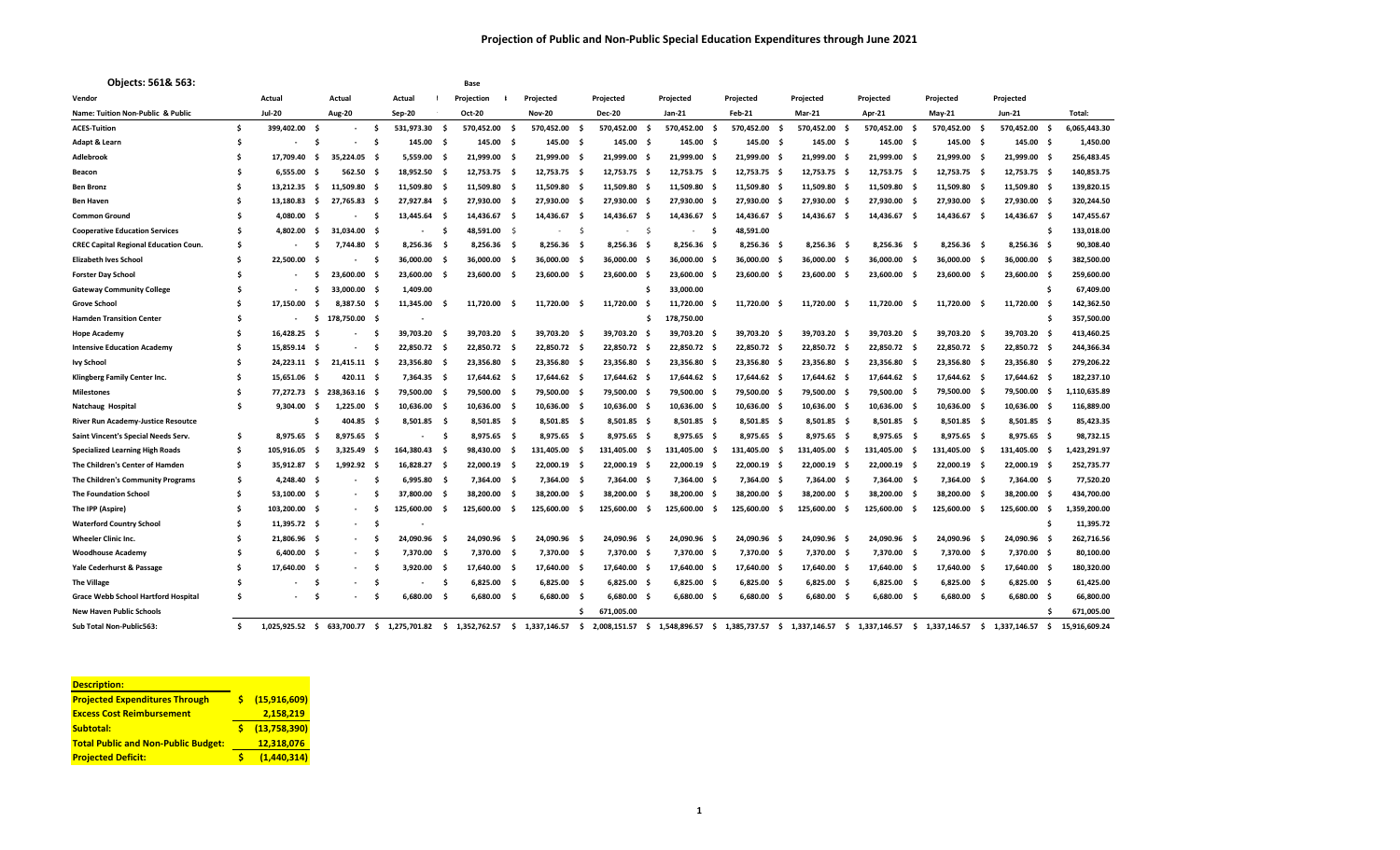| Objects: 561& 563:                           |     |               |                     |               |      |               |      | Base          |      |               |      |               |     |                    |                    |               |      |              |      |              |      |               |      |               |
|----------------------------------------------|-----|---------------|---------------------|---------------|------|---------------|------|---------------|------|---------------|------|---------------|-----|--------------------|--------------------|---------------|------|--------------|------|--------------|------|---------------|------|---------------|
| Vendor                                       |     | Actual        |                     | Actual        |      | Actual        |      | Projection    |      | Projected     |      | Projected     |     | Projected          | Projected          | Projected     |      | Projected    |      | Projected    |      | Projected     |      |               |
| Name: Tuition Non-Public & Public            |     | <b>Jul-20</b> |                     | <b>Aug-20</b> |      | Sep-20        |      | Oct-20        |      | <b>Nov-20</b> |      | <b>Dec-20</b> |     | Jan-21             | Feb-21             | Mar-21        |      | Apr-21       |      | $May-21$     |      | <b>Jun-21</b> |      | Total:        |
| <b>ACES-Tuition</b>                          | \$  | 399,402.00 \$ |                     |               | -\$  | 531,973.30    | - \$ | 570,452.00    | - Ś  | 570,452.00    | - \$ | 570,452.00    | .s  | 570,452.00<br>Ŝ.   | 570,452.00 \$      | 570,452.00    | s.   | 570,452.00   | - Ś  | 570,452.00   | s.   | 570,452.00    |      | 6,065,443.30  |
| Adapt & Learn                                | Ś   |               | Ŝ.                  |               | - \$ | 145.00 \$     |      | 145.00 \$     |      | 145.00 \$     |      | 145.00        | - 9 | 145.00 \$          | 145.00 \$          | 145.00 \$     |      | 145.00 \$    |      | 145.00 \$    |      | 145.00 \$     |      | 1,450.00      |
| Adlebrook                                    | Ŝ   | 17.709.40     | s.                  | 35,224.05 \$  |      | 5,559.00      | S    | 21,999.00     | - Ś  | 21,999.00     | - S  | 21,999.00     | -S  | 21,999.00 \$       | 21,999.00 \$       | 21,999.00     | - \$ | 21,999.00    | - S  | 21,999.00    | - 5  | 21,999.00 \$  |      | 256,483.45    |
| Beacon                                       | Ś   | 6.555.00      | -S                  | 562.50 \$     |      | 18,952.50 \$  |      | 12.753.75 \$  |      | 12,753.75 \$  |      | 12,753.75 \$  |     | 12,753.75 \$       | 12,753.75 \$       | 12,753.75 \$  |      | 12,753.75    | - S  | 12,753.75 \$ |      | 12,753.75 \$  |      | 140,853.75    |
| <b>Ben Bronz</b>                             | Ś   | 13.212.35     | - Ś                 | 11,509.80 \$  |      | 11,509.80 \$  |      | 11,509.80 \$  |      | 11,509.80     | - \$ | 11,509.80 \$  |     | 11,509.80 \$       | 11,509.80 \$       | 11,509.80 \$  |      | 11,509.80    | - S  | 11,509.80 \$ |      | 11,509.80 \$  |      | 139,820.15    |
| <b>Ben Haven</b>                             | Ŝ   | 13,180.83     | $\ddot{\mathsf{s}}$ | 27,765.83 \$  |      | 27,927.84 \$  |      | 27,930.00 \$  |      | 27,930.00     | - \$ | 27,930.00     | - 9 | 27,930.00 \$       | 27,930.00 \$       | 27,930.00 \$  |      | 27,930.00    | - S  | 27,930.00    | - \$ | 27,930.00 \$  |      | 320,244.50    |
| <b>Common Ground</b>                         | Ś   | 4.080.00      | - S                 |               | - S  | 13,445.64 \$  |      | 14.436.67 \$  |      | 14,436.67     | - \$ | 14,436.67     | - s | 14,436.67 \$       | 14,436.67 \$       | 14.436.67 \$  |      | 14,436.67    |      | 14,436.67    | - 9  | 14,436.67 \$  |      | 147,455.67    |
| <b>Cooperative Education Services</b>        | Ś   | 4,802.00      | -Ś                  | 31,034.00 \$  |      |               | Ś    | 48,591.00 \$  |      |               | -Ś   |               | -S  | - \$               | 48,591.00          |               |      |              |      |              |      |               | -S   | 133,018.00    |
| <b>CREC Capital Regional Education Coun.</b> | Ś   |               | -S                  | 7,744.80      | - 9  | 8,256.36      | - \$ | $8,256.36$ \$ |      | 8,256.36      | - 1  | 8,256.36      | - S | 8,256.36 \$        | 8,256.36 \$        | 8,256.36 \$   |      | 8,256.36     | - Ś  | 8.256.36     | - \$ | 8,256.36 \$   |      | 90,308.40     |
| <b>Elizabeth Ives School</b>                 | Ś   | 22.500.00     | .s                  |               | - S  | 36,000.00     | - S  | 36,000.00     | s.   | 36,000.00     | - S  | 36.000.00     | - 9 | 36,000.00 \$       | 36,000.00 \$       | 36,000.00     | - \$ | 36,000.00    | - S  | 36.000.00    | - \$ | 36,000.00     | - S  | 382,500.00    |
| <b>Forster Day School</b>                    | Ś   |               | ŝ.                  | 23,600.00 \$  |      | 23,600.00     | - S  | 23,600.00     | - Ś  | 23,600.00     | - S  | 23,600.00     |     | 23,600.00 \$       | 23,600.00<br>- 5   | 23,600.00     | - S  | 23,600.00    | - S  | 23,600.00    | - 9  | 23,600.00 \$  |      | 259,600.00    |
| <b>Gateway Community College</b>             | Ś   |               | Ŝ                   | 33,000.00 \$  |      | 1,409.00      |      |               |      |               |      |               | S   | 33,000.00          |                    |               |      |              |      |              |      |               | Ś    | 67,409.00     |
| <b>Grove School</b>                          | Ś   | 17.150.00     | .s                  | 8.387.50 \$   |      | 11,345.00     |      | 11,720.00     | - S  | 11.720.00     | - S  | 11.720.00     |     | 11.720.00          | 11,720.00<br>- 5   | 11,720.00     | - Ś  | 11,720.00    |      | 11.720.00    | - 9  | 11.720.00     |      | 142,362.50    |
| <b>Hamden Transition Center</b>              | \$  |               | s.                  | 178,750.00 \$ |      |               |      |               |      |               |      |               | s   | 178,750.00         |                    |               |      |              |      |              |      |               | Ŝ.   | 357,500.00    |
| <b>Hope Academy</b>                          | Ś   | 16,428.25     | - \$                |               | - S  | 39,703.20     | - \$ | 39,703.20     | - Ś  | 39,703.20     | - 5  | 39,703.20     | -S  | 39,703.20<br>- 9   | 39,703.20 \$       | 39,703.20     | - \$ | 39,703.20    | - S  | 39,703.20    | - 9  | 39,703.20 \$  |      | 413,460.25    |
| <b>Intensive Education Academy</b>           | Ŝ   | 15.859.14 \$  |                     |               | - S  | 22,850.72 \$  |      | 22,850.72 \$  |      | 22,850.72 \$  |      | 22,850.72 \$  |     | 22,850.72 \$       | 22,850.72 \$       | 22,850.72 \$  |      | 22,850.72 \$ |      | 22,850.72 \$ |      | 22,850.72 \$  |      | 244,366.34    |
| <b>Ivy School</b>                            | \$  | 24.223.11 \$  |                     | 21.415.11 \$  |      | 23.356.80     | - S  | 23.356.80 \$  |      | 23,356.80     | - S  | 23.356.80 \$  |     | 23,356.80 \$       | 23,356.80 \$       | 23.356.80 \$  |      | 23.356.80    | - S  | 23.356.80    | - S  | 23.356.80 \$  |      | 279,206.22    |
| Klingberg Family Center Inc.                 | Ś   | 15,651.06 \$  |                     | 420.11 \$     |      | 7,364.35 \$   |      | 17,644.62 \$  |      | 17,644.62 \$  |      | 17,644.62 \$  |     | 17,644.62 \$       | 17,644.62 \$       | 17,644.62 \$  |      | 17,644.62    | - S  | 17,644.62 \$ |      | 17,644.62 \$  |      | 182,237.10    |
| Milestones                                   | Ś.  | 77,272.73 \$  |                     | 238,363.16 \$ |      | 79,500.00     | S    | 79,500.00 \$  |      | 79,500.00     | - \$ | 79,500.00     | s   | 79,500.00 \$       | 79,500.00 \$       | 79,500.00 \$  |      | 79,500.00    |      | 79,500.00    | - S  | 79,500.00     | - S  | 1,110,635.89  |
| Natchaug Hospital                            | \$. | 9.304.00      | - S                 | $1.225.00$ \$ |      | 10,636.00 \$  |      | 10.636.00 \$  |      | 10.636.00 \$  |      | 10.636.00 \$  |     | 10,636.00 \$       | 10,636.00 \$       | 10.636.00 \$  |      | 10,636.00    | - S  | 10.636.00    | - S  | 10,636.00 \$  |      | 116,889.00    |
| River Run Academy-Justice Resoutce           |     |               | \$                  | 404.85 \$     |      | $8,501.85$ \$ |      | 8,501.85 \$   |      | 8,501.85 \$   |      | 8,501.85 \$   |     | 8,501.85 \$        | 8,501.85 \$        | 8,501.85 \$   |      | 8,501.85     | - \$ | 8,501.85 \$  |      | 8,501.85 \$   |      | 85,423.35     |
| Saint Vincent's Special Needs Serv.          | \$. | 8.975.65      | - Ś                 | $8,975.65$ \$ |      |               | - s  | $8,975.65$ \$ |      | 8,975.65 \$   |      | 8,975.65 \$   |     | 8,975.65 \$        | 8,975.65 \$        | 8,975.65 \$   |      | 8,975.65     | - \$ | 8,975.65 \$  |      | 8,975.65 \$   |      | 98,732.15     |
| <b>Specialized Learning High Roads</b>       | Ś   | 105,916.05    | -S                  | 3.325.49      | - 9  | 164,380.43 \$ |      | 98.430.00     | - S  | 131,405.00    | - \$ | 131,405.00    | -S  | 131,405.00         | 131,405.00 \$      | 131,405.00    | - S  | 131,405.00   | - S  | 131,405.00   | - 5  | 131,405.00    | - S  | ,423,291.97   |
| The Children's Center of Hamden              | Ś   | 35,912.87     | - \$                | 1,992.92 \$   |      | 16,828.27 \$  |      | 22,000.19 \$  |      | 22,000.19     | - \$ | 22,000.19 \$  |     | 22,000.19 \$       | 22,000.19 \$       | 22,000.19 \$  |      | 22,000.19    | - S  | 22,000.19 \$ |      | 22,000.19 \$  |      | 252,735.77    |
| The Children's Community Programs            | \$  | 4,248.40 \$   |                     |               | - S  | 6,995.80      | - \$ | 7,364.00 \$   |      | 7,364.00      | - \$ | 7,364.00 \$   |     | 7,364.00 \$        | 7,364.00 \$        | 7,364.00 \$   |      | 7,364.00     | - \$ | 7,364.00     | - \$ | 7,364.00 \$   |      | 77,520.20     |
| <b>The Foundation School</b>                 | Ŝ   | 53,100.00 \$  |                     |               | - S  | 37,800.00     | - S  | 38,200.00     | - \$ | 38,200.00     | - 5  | 38,200.00     | -S  | 38,200.00 \$       | 38,200.00 \$       | 38,200.00     | S    | 38,200.00    |      | 38,200.00    | - 9  | 38,200.00     | - \$ | 434,700.00    |
| The IPP (Aspire)                             | \$  | 103,200.00 \$ |                     |               | - S  | 125,600.00    | s:   | 125,600.00    | - S  | 125,600.00    | - \$ | 125,600.00    | -S  | 125,600.00<br>-S   | 125,600.00<br>- S  | 125,600.00    | - S  | 125,600.00   |      | 125,600.00   | - s  | 125,600.00    | - S  | 1,359,200.00  |
| <b>Waterford Country School</b>              | \$  | 11,395.72 \$  |                     | $\sim$        | - Ś  |               |      |               |      |               |      |               |     |                    |                    |               |      |              |      |              |      |               | \$.  | 11,395.72     |
| <b>Wheeler Clinic Inc.</b>                   | Ŝ   | 21,806.96 \$  |                     |               | - S  | 24,090.96     | - \$ | 24,090.96     | - \$ | 24,090.96     | - s  | 24,090.96     | - 5 | 24.090.96<br>- 9   | 24,090.96<br>- S   | 24,090.96     | - S  | 24,090.96    | - S  | 24,090.96    | - 5  | 24,090.96 \$  |      | 262,716.56    |
| <b>Woodhouse Academy</b>                     | \$. | $6.400.00$ \$ |                     |               | - S  | 7,370.00 \$   |      | 7,370.00 \$   |      | 7,370.00 \$   |      | 7,370.00 \$   |     | 7,370.00 \$        | 7,370.00 \$        | 7,370.00 \$   |      | 7,370.00 \$  |      | 7,370.00 \$  |      | 7,370.00 \$   |      | 80,100.00     |
| Yale Cederhurst & Passage                    | \$  | 17,640.00     | - \$                |               | - Ś  | 3,920.00 \$   |      | 17,640.00 \$  |      | 17,640.00     | - \$ | 17,640.00 \$  |     | 17,640.00 \$       | 17,640.00 \$       | 17,640.00 \$  |      | 17,640.00    | - \$ | 17,640.00    | - \$ | 17,640.00 \$  |      | 180,320.00    |
| <b>The Village</b>                           | \$. |               | Ŝ.                  |               | - S  |               | - 5  | 6,825.00      | - \$ | 6,825.00      | - \$ | $6,825.00$ \$ |     | $6,825.00$ \$      | $6,825.00$ \$      | $6,825.00$ \$ |      | 6,825.00     | - Ś  | 6,825.00     | - \$ | $6,825.00$ \$ |      | 61,425.00     |
| <b>Grace Webb School Hartford Hospital</b>   | \$. |               | Ŝ                   |               | - S  | 6,680.00      | - \$ | 6,680.00      | - Ś  | 6,680.00      | - S  | 6,680.00      | - S | $6,680.00$ \$      | $6,680.00$ \$      | $6,680.00$ \$ |      | 6,680.00     | - S  | 6.680.00     | - \$ | $6,680.00$ \$ |      | 66,800.00     |
| <b>New Haven Public Schools</b>              |     |               |                     |               |      |               |      |               |      |               | Ś.   | 671,005.00    |     |                    |                    |               |      |              |      |              |      |               |      | 671,005.00    |
| Sub Total Non-Public563:                     | ¢.  | 1.025.925.52  | s.                  | 633.700.77    | - Ś  | 1.275.701.82  | s.   | 1.352.762.57  | - Ś  | 1.337.146.57  | s.   | 2.008.151.57  | s.  | 1.548.896.57<br>÷. | 1.385.737.57<br>s. | 1.337.146.57  | - Ś  | 1.337.146.57 | - Ś  | 1.337.146.57 | s.   | 1.337.146.57  | Ŝ.   | 15.916.609.24 |

| <b>Description:</b>                        |   |                |
|--------------------------------------------|---|----------------|
| <b>Projected Expenditures Through</b>      | ς | (15, 916, 609) |
| <b>Excess Cost Reimbursement</b>           |   | 2,158,219      |
| <b>Subtotal:</b>                           |   | (13,758,390)   |
| <b>Total Public and Non-Public Budget:</b> |   | 12.318.076     |
| <b>Projected Deficit:</b>                  | s | (1,440,314)    |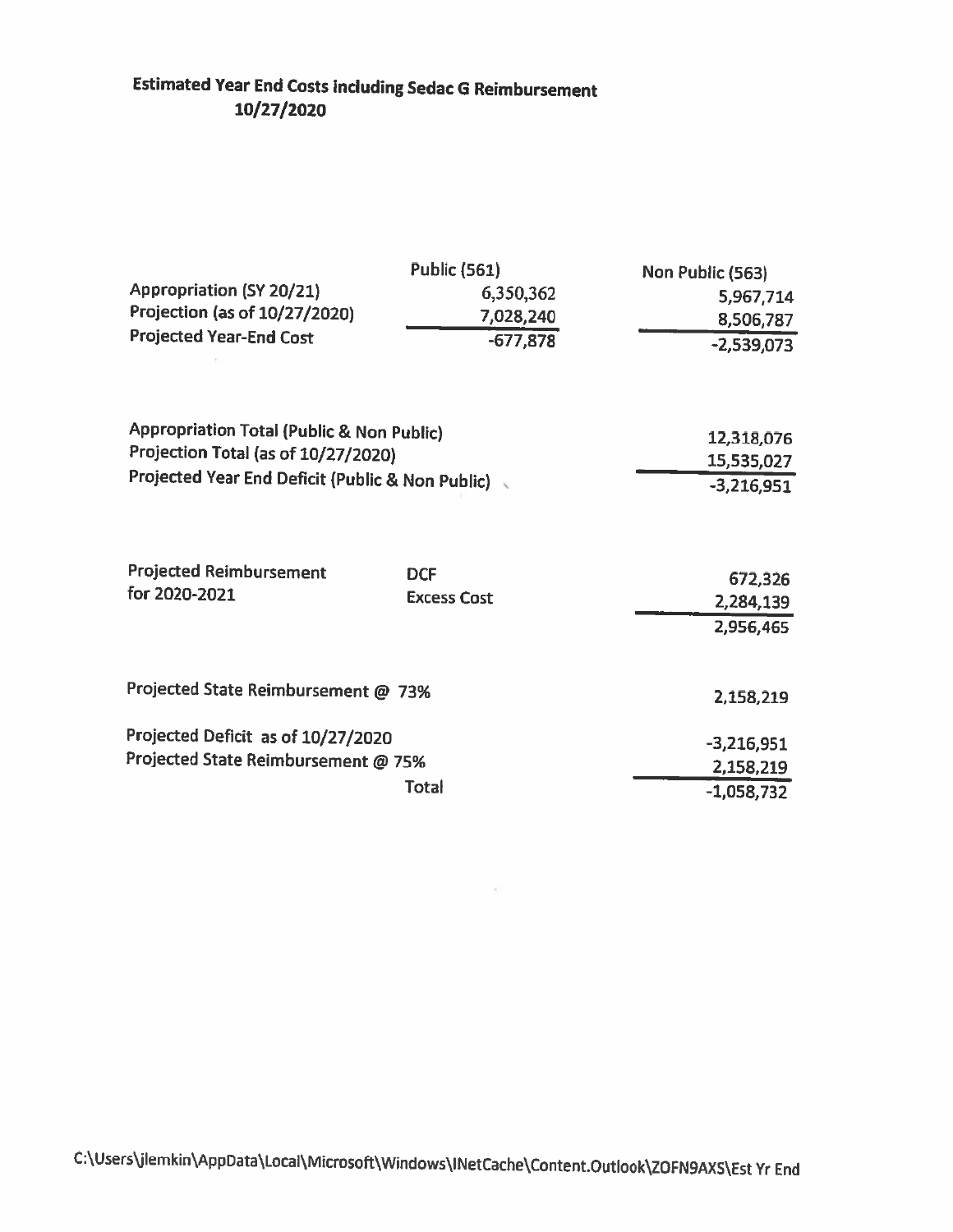# **Estimated Year End Costs including Sedac G Reimbursement** 10/27/2020

| <b>Appropriation (SY 20/21)</b><br>Projection (as of 10/27/2020)<br><b>Projected Year-End Cost</b>                                   | <b>Public (561)</b><br>6,350,362<br>7,028,240<br>$-677,878$ | Non Public (563)<br>5,967,714<br>8,506,787<br>$-2,539,073$ |
|--------------------------------------------------------------------------------------------------------------------------------------|-------------------------------------------------------------|------------------------------------------------------------|
| Appropriation Total (Public & Non Public)<br>Projection Total (as of 10/27/2020)<br>Projected Year End Deficit (Public & Non Public) |                                                             | 12,318,076<br>15,535,027<br>$-3,216,951$                   |
| <b>Projected Reimbursement</b><br>for 2020-2021                                                                                      | <b>DCF</b><br><b>Excess Cost</b>                            | 672,326<br>2,284,139<br>2,956,465                          |
| Projected State Reimbursement @ 73%                                                                                                  |                                                             | 2,158,219                                                  |
| Projected Deficit as of 10/27/2020<br>Projected State Reimbursement @ 75%                                                            | <b>Total</b>                                                | $-3,216,951$<br>2,158,219<br>$-1,058,732$                  |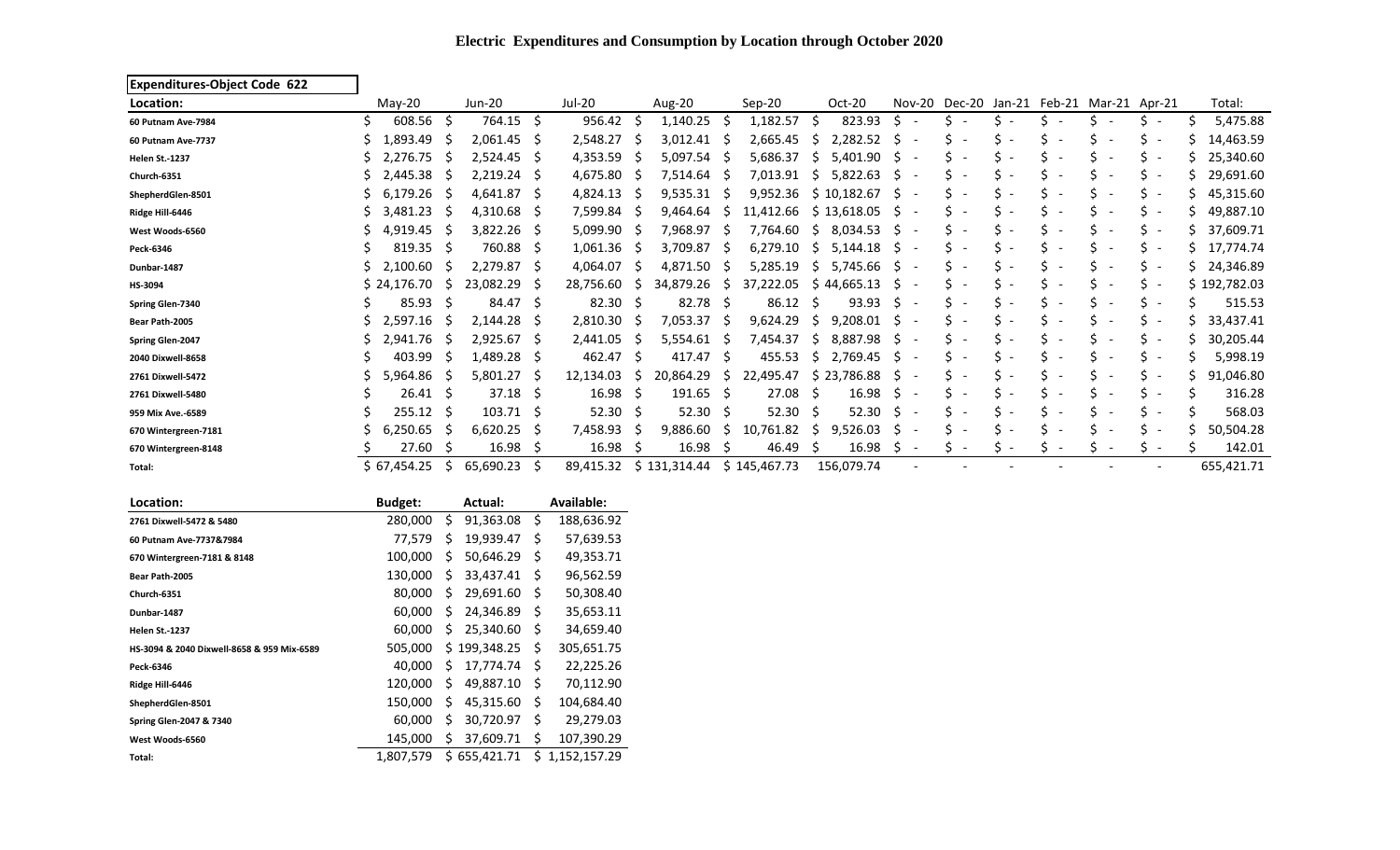| <b>Expenditures-Object Code 622</b> |                |              |           |              |               |              |              |              |              |    |             |              |                          |                                           |                          |                          |                          |                                |              |
|-------------------------------------|----------------|--------------|-----------|--------------|---------------|--------------|--------------|--------------|--------------|----|-------------|--------------|--------------------------|-------------------------------------------|--------------------------|--------------------------|--------------------------|--------------------------------|--------------|
| Location:                           | May-20         |              | Jun-20    |              | <b>Jul-20</b> |              | Aug-20       |              | Sep-20       |    | Oct-20      |              |                          | Nov-20 Dec-20 Jan-21 Feb-21 Mar-21 Apr-21 |                          |                          |                          |                                | Total:       |
| 60 Putnam Ave-7984                  | 608.56         | Ŝ.           | 764.15    | S.           | 956.42        |              | 1,140.25     |              | 1,182.57     | S  | 823.93      |              |                          |                                           |                          |                          |                          |                                | 5,475.88     |
| 60 Putnam Ave-7737                  | 1,893.49       | S            | 2,061.45  | <sub>S</sub> | 2,548.27      | -S           | 3,012.41     |              | 2,665.45     | S  | 2,282.52    | S            |                          | $\overline{\phantom{a}}$                  |                          |                          |                          | $\overline{\phantom{a}}$       | 14,463.59    |
| <b>Helen St.-1237</b>               | 2,276.75       |              | 2,524.45  | -S           | 4,353.59      | .S           | 5,097.54     |              | 5,686.37     | S  | 5,401.90    | S            |                          | $\overline{\phantom{a}}$                  |                          |                          |                          | S.<br>$\overline{\phantom{a}}$ | 25,340.60    |
| Church-6351                         | 2,445.38       |              | 2,219.24  | -S           | 4,675.80      | -S           | 7,514.64     |              | 7,013.91     | S. | 5,822.63    | S.           | $\overline{\phantom{a}}$ | $\overline{\phantom{a}}$                  |                          |                          |                          | S.<br>$\overline{\phantom{a}}$ | 29,691.60    |
| ShepherdGlen-8501                   | 6,179.26       |              | 4,641.87  | -S           | 4,824.13      | 5            | 9,535.31     | -S           | 9,952.36     |    | \$10,182.67 | <sub>S</sub> |                          | Ś.<br>$\overline{\phantom{a}}$            |                          |                          |                          | S.<br>$\overline{\phantom{a}}$ | 45,315.60    |
| Ridge Hill-6446                     | 3,481.23       | -S           | 4,310.68  | -S           | 7,599.84      | -S           | 9,464.64     | -S           | 11,412.66    |    | \$13,618.05 | <sub>S</sub> | $\overline{\phantom{a}}$ | S<br>$\overline{\phantom{a}}$             |                          |                          |                          | S.<br>$\overline{\phantom{a}}$ | 49,887.10    |
| West Woods-6560                     | 4,919.45       | S            | 3,822.26  | -S           | 5,099.90      | -S           | 7,968.97     | -S           | 7,764.60     | S. | 8,034.53    | <sub>S</sub> | $\overline{\phantom{a}}$ | $\overline{\phantom{a}}$                  |                          |                          |                          | S.<br>$\overline{\phantom{a}}$ | 37,609.71    |
| Peck-6346                           | 819.35         | .S           | 760.88    | -S           | 1,061.36      | -S           | 3,709.87     | -S           | 6,279.10     | S. | 5,144.18    | S.           |                          | $\overline{\phantom{a}}$                  |                          |                          |                          | S.<br>$\overline{\phantom{a}}$ | 17,774.74    |
| Dunbar-1487                         | 2,100.60       | S            | 2,279.87  | -S           | 4,064.07      | -S           | 4,871.50     |              | 5,285.19     | S. | 5,745.66    | S            |                          |                                           |                          |                          |                          | s -                            | 24,346.89    |
| HS-3094                             | \$24,176.70    | S            | 23,082.29 | S            | 28,756.60     | S            | 34,879.26    |              | 37,222.05    |    | \$44,665.13 | S            |                          |                                           |                          |                          |                          | S.<br>$\overline{\phantom{a}}$ | \$192,782.03 |
| Spring Glen-7340                    | 85.93          | -S           | 84.47     | S.           | 82.30         | - S          | 82.78        | -S           | 86.12        | -S | 93.93       | S            |                          | $\overline{\phantom{a}}$                  |                          |                          |                          | $\overline{\phantom{a}}$       | 515.53       |
| Bear Path-2005                      | 2,597.16       | S            | 2,144.28  | S            | 2,810.30      | -S           | 7,053.37     |              | 9,624.29     | S  | 9,208.01    | S            | $\overline{\phantom{a}}$ |                                           |                          |                          |                          | S<br>$\overline{\phantom{a}}$  | 33,437.41    |
| Spring Glen-2047                    | 2,941.76       | <sub>S</sub> | 2,925.67  | -S           | 2,441.05      | S            | 5,554.61     |              | 7,454.37     | S  | 8,887.98    | \$.          | $\overline{\phantom{a}}$ |                                           |                          |                          |                          | Ś.<br>$\overline{\phantom{a}}$ | 30,205.44    |
| 2040 Dixwell-8658                   | 403.99         | S            | 1,489.28  | -S           | 462.47        | -\$          | 417.47       | S.           | 455.53       | S. | 2,769.45    | S            | $\overline{\phantom{a}}$ |                                           |                          |                          |                          | S.<br>$\overline{\phantom{a}}$ | 5,998.19     |
| 2761 Dixwell-5472                   | 5,964.86       | 'N           | 5,801.27  | S            | 12,134.03     | <sub>S</sub> | 20,864.29    | <sub>S</sub> | 22,495.47    |    | \$23,786.88 | <sub>S</sub> |                          | $\overline{\phantom{a}}$                  |                          |                          |                          | $\overline{\phantom{a}}$       | 91,046.80    |
| 2761 Dixwell-5480                   | 26.41          | -S           | 37.18     | -S           | 16.98         | -S           | 191.65       | S.           | 27.08        | S. | 16.98       | S            |                          |                                           |                          |                          |                          | S<br>$\overline{\phantom{a}}$  | 316.28       |
| 959 Mix Ave.-6589                   | 255.12         | .S           | 103.71    | -S           | 52.30         | - S          | 52.30        | -S           | 52.30        | S. | 52.30       | S            |                          | $\overline{\phantom{a}}$                  |                          |                          |                          | $\overline{\phantom{a}}$       | 568.03       |
| 670 Wintergreen-7181                | 6,250.65       | 5            | 6,620.25  | -S           | 7,458.93      | S            | 9,886.60     | S            | 10,761.82    | S. | 9,526.03    | S            |                          |                                           |                          |                          |                          | Ś<br>$\overline{\phantom{a}}$  | 50,504.28    |
| 670 Wintergreen-8148                | 27.60          | <b>S</b>     | 16.98     | S            | 16.98         | ς.           | 16.98        | -S           | 46.49        | -S | 16.98       | <sub>S</sub> | $\overline{\phantom{a}}$ | ς<br>$\overline{\phantom{a}}$             | $\overline{\phantom{a}}$ | $\overline{\phantom{a}}$ | $\overline{\phantom{a}}$ | $S -$                          | 142.01       |
| Total:                              | \$67,454.25    | S.           | 65,690.23 |              | 89,415.32     |              | \$131,314.44 |              | \$145,467.73 |    | 156,079.74  |              |                          |                                           |                          |                          |                          |                                | 655,421.71   |
| Location:                           | <b>Budget:</b> |              | Actual:   |              | Available:    |              |              |              |              |    |             |              |                          |                                           |                          |                          |                          |                                |              |

### **Electric Expenditures and Consumption by Location through October 2020**

| LULALIUII.                                 | DUUKEL.   |    | Attuai.      |    | Avanavie.    |
|--------------------------------------------|-----------|----|--------------|----|--------------|
| 2761 Dixwell-5472 & 5480                   | 280,000   | Ś  | 91,363.08    | \$ | 188,636.92   |
| 60 Putnam Ave-7737&7984                    | 77,579    | \$ | 19,939.47    | \$ | 57,639.53    |
| 670 Wintergreen-7181 & 8148                | 100,000   | Ś  | 50,646.29    | \$ | 49,353.71    |
| Bear Path-2005                             | 130,000   | \$ | 33.437.41    | \$ | 96,562.59    |
| Church-6351                                | 80,000    | Ś  | 29,691.60    | \$ | 50,308.40    |
| Dunbar-1487                                | 60.000    | Ś  | 24.346.89    | \$ | 35,653.11    |
| <b>Helen St.-1237</b>                      | 60.000    | Ś  | 25,340.60    | \$ | 34,659.40    |
| HS-3094 & 2040 Dixwell-8658 & 959 Mix-6589 | 505,000   |    | \$199,348.25 | \$ | 305,651.75   |
| Peck-6346                                  | 40.000    | Ś  | 17,774.74    | \$ | 22,225.26    |
| Ridge Hill-6446                            | 120,000   | \$ | 49,887.10    | \$ | 70,112.90    |
| ShepherdGlen-8501                          | 150,000   | \$ | 45,315.60    | \$ | 104,684.40   |
| Spring Glen-2047 & 7340                    | 60.000    | Ś  | 30,720.97    | \$ | 29,279.03    |
| West Woods-6560                            | 145,000   | \$ | 37,609.71    | \$ | 107,390.29   |
| Total:                                     | 1.807.579 | Ś. | 655.421.71   | Ś. | 1,152,157.29 |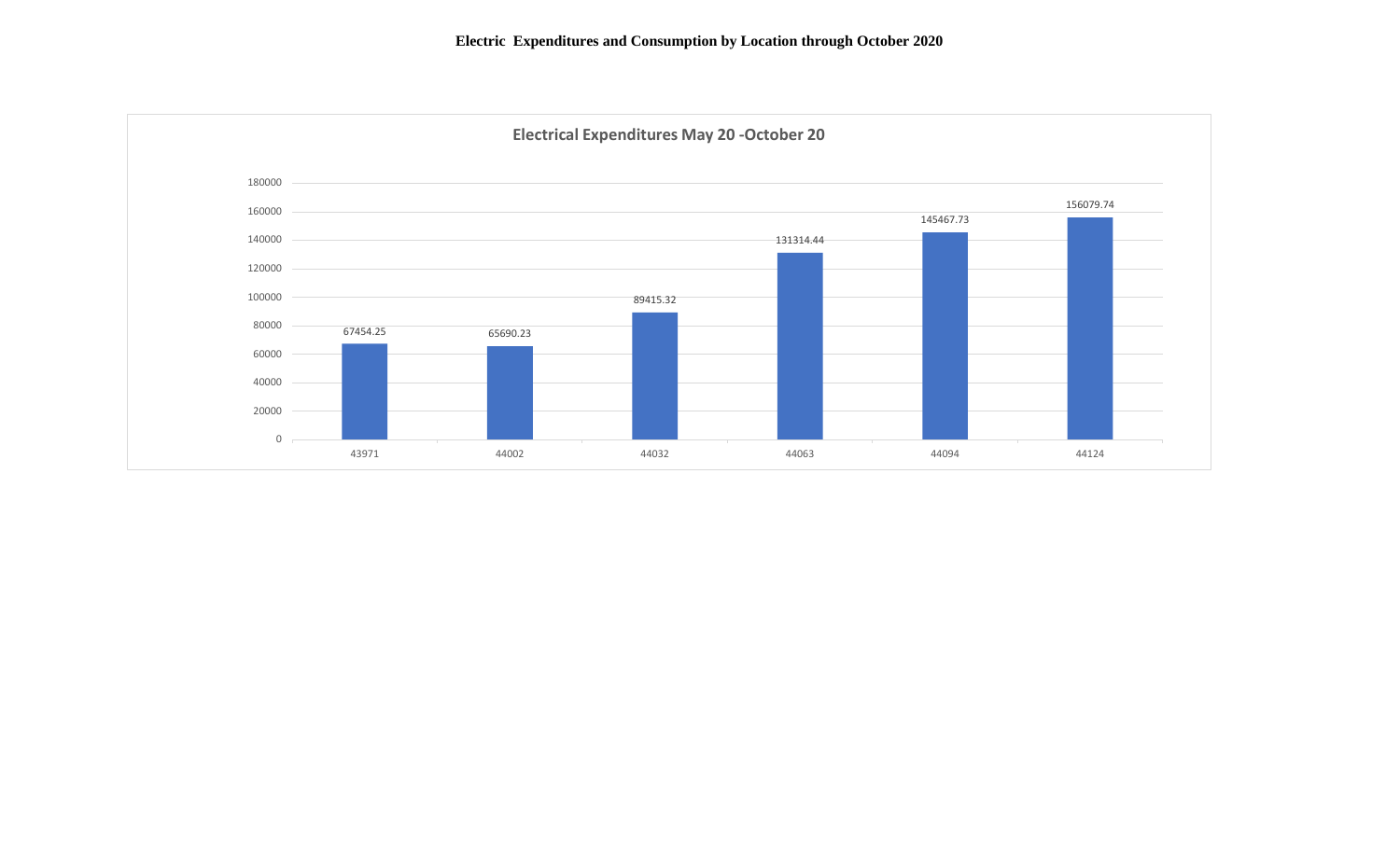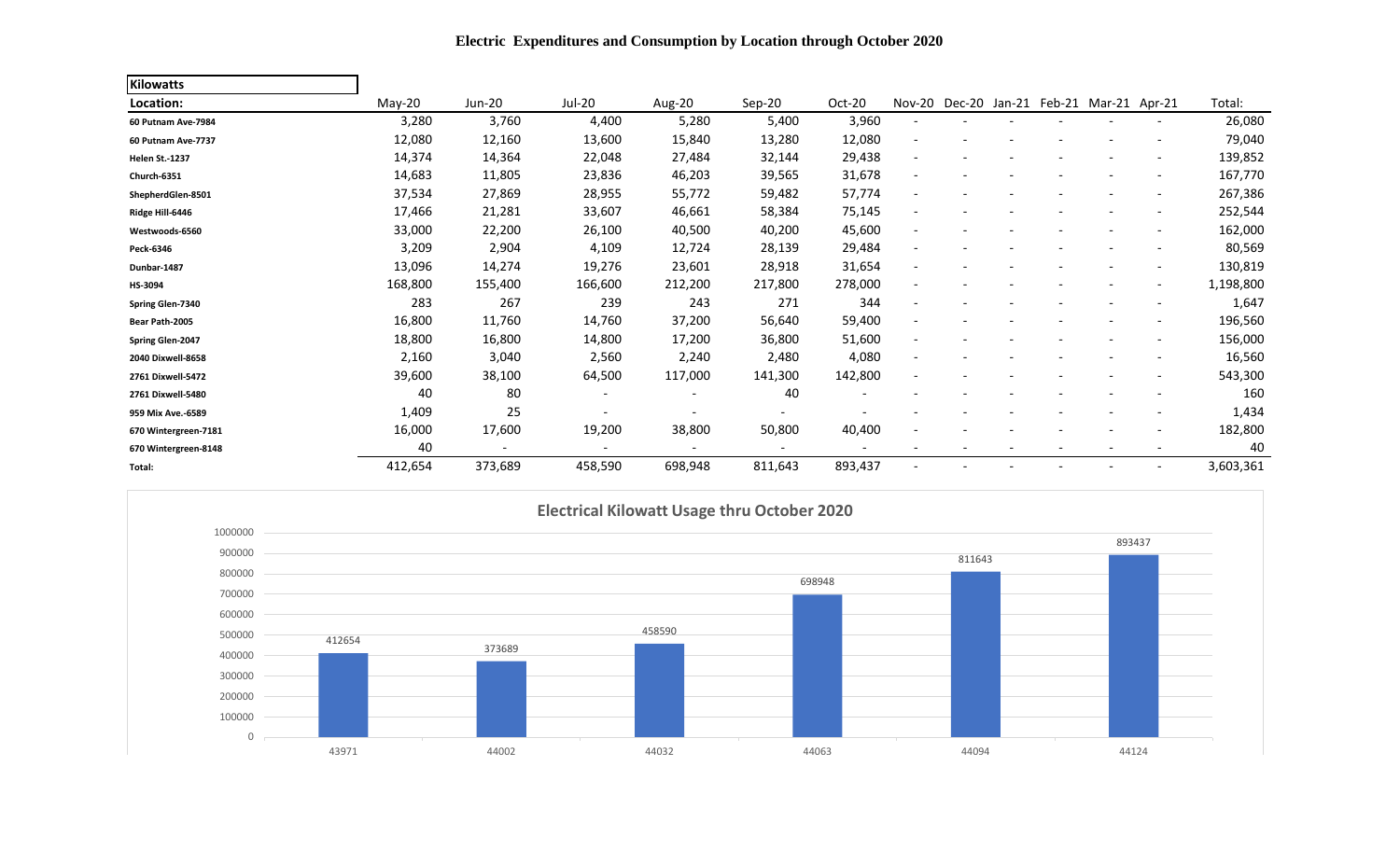| <b>Kilowatts</b>      |          |                          |                          |                          |                          |                          |                          |               |  |                             |                          |           |
|-----------------------|----------|--------------------------|--------------------------|--------------------------|--------------------------|--------------------------|--------------------------|---------------|--|-----------------------------|--------------------------|-----------|
| Location:             | $May-20$ | <b>Jun-20</b>            | Jul-20                   | Aug-20                   | Sep-20                   | Oct-20                   |                          | Nov-20 Dec-20 |  | Jan-21 Feb-21 Mar-21 Apr-21 |                          | Total:    |
| 60 Putnam Ave-7984    | 3,280    | 3,760                    | 4,400                    | 5,280                    | 5,400                    | 3,960                    | $\overline{\phantom{a}}$ |               |  |                             | $\overline{\phantom{a}}$ | 26,080    |
| 60 Putnam Ave-7737    | 12,080   | 12,160                   | 13,600                   | 15,840                   | 13,280                   | 12,080                   |                          |               |  |                             | $\overline{\phantom{a}}$ | 79,040    |
| <b>Helen St.-1237</b> | 14,374   | 14,364                   | 22,048                   | 27,484                   | 32,144                   | 29,438                   |                          |               |  |                             | $\overline{\phantom{a}}$ | 139,852   |
| Church-6351           | 14,683   | 11,805                   | 23,836                   | 46,203                   | 39,565                   | 31,678                   | $\overline{\phantom{a}}$ |               |  |                             | $\overline{\phantom{a}}$ | 167,770   |
| ShepherdGlen-8501     | 37,534   | 27,869                   | 28,955                   | 55,772                   | 59,482                   | 57,774                   | $\overline{\phantom{a}}$ |               |  |                             | $\overline{\phantom{a}}$ | 267,386   |
| Ridge Hill-6446       | 17,466   | 21,281                   | 33,607                   | 46,661                   | 58,384                   | 75,145                   |                          |               |  |                             | $\overline{\phantom{a}}$ | 252,544   |
| Westwoods-6560        | 33,000   | 22,200                   | 26,100                   | 40,500                   | 40,200                   | 45,600                   |                          |               |  |                             | $\overline{\phantom{a}}$ | 162,000   |
| Peck-6346             | 3,209    | 2,904                    | 4,109                    | 12,724                   | 28,139                   | 29,484                   |                          |               |  |                             | $\overline{\phantom{a}}$ | 80,569    |
| Dunbar-1487           | 13,096   | 14,274                   | 19,276                   | 23,601                   | 28,918                   | 31,654                   |                          |               |  |                             | $\overline{\phantom{a}}$ | 130,819   |
| HS-3094               | 168,800  | 155,400                  | 166,600                  | 212,200                  | 217,800                  | 278,000                  |                          |               |  |                             | $\overline{\phantom{a}}$ | 1,198,800 |
| Spring Glen-7340      | 283      | 267                      | 239                      | 243                      | 271                      | 344                      |                          |               |  |                             | $\overline{\phantom{a}}$ | 1,647     |
| Bear Path-2005        | 16,800   | 11,760                   | 14,760                   | 37,200                   | 56,640                   | 59,400                   |                          |               |  |                             | $\overline{\phantom{a}}$ | 196,560   |
| Spring Glen-2047      | 18,800   | 16,800                   | 14,800                   | 17,200                   | 36,800                   | 51,600                   |                          |               |  |                             | $\overline{\phantom{a}}$ | 156,000   |
| 2040 Dixwell-8658     | 2,160    | 3,040                    | 2,560                    | 2,240                    | 2,480                    | 4,080                    | $\overline{\phantom{a}}$ |               |  |                             | $\overline{\phantom{a}}$ | 16,560    |
| 2761 Dixwell-5472     | 39,600   | 38,100                   | 64,500                   | 117,000                  | 141,300                  | 142,800                  | $\overline{\phantom{a}}$ |               |  |                             | $\overline{\phantom{a}}$ | 543,300   |
| 2761 Dixwell-5480     | 40       | 80                       | $\overline{\phantom{a}}$ | $\overline{\phantom{a}}$ | 40                       | $\overline{\phantom{a}}$ |                          |               |  |                             | $\overline{\phantom{a}}$ | 160       |
| 959 Mix Ave.-6589     | 1,409    | 25                       |                          |                          | $\overline{\phantom{0}}$ |                          |                          |               |  |                             | $\overline{\phantom{a}}$ | 1,434     |
| 670 Wintergreen-7181  | 16,000   | 17,600                   | 19,200                   | 38,800                   | 50,800                   | 40,400                   |                          |               |  |                             | $\overline{\phantom{a}}$ | 182,800   |
| 670 Wintergreen-8148  | 40       | $\overline{\phantom{a}}$ | $\overline{\phantom{a}}$ | $\overline{\phantom{a}}$ | $\overline{\phantom{0}}$ | $\overline{\phantom{a}}$ |                          |               |  | $\overline{\phantom{a}}$    | $\overline{\phantom{a}}$ | 40        |
| Total:                | 412,654  | 373,689                  | 458,590                  | 698,948                  | 811,643                  | 893,437                  |                          |               |  |                             |                          | 3,603,361 |



**Electric Expenditures and Consumption by Location through October 2020**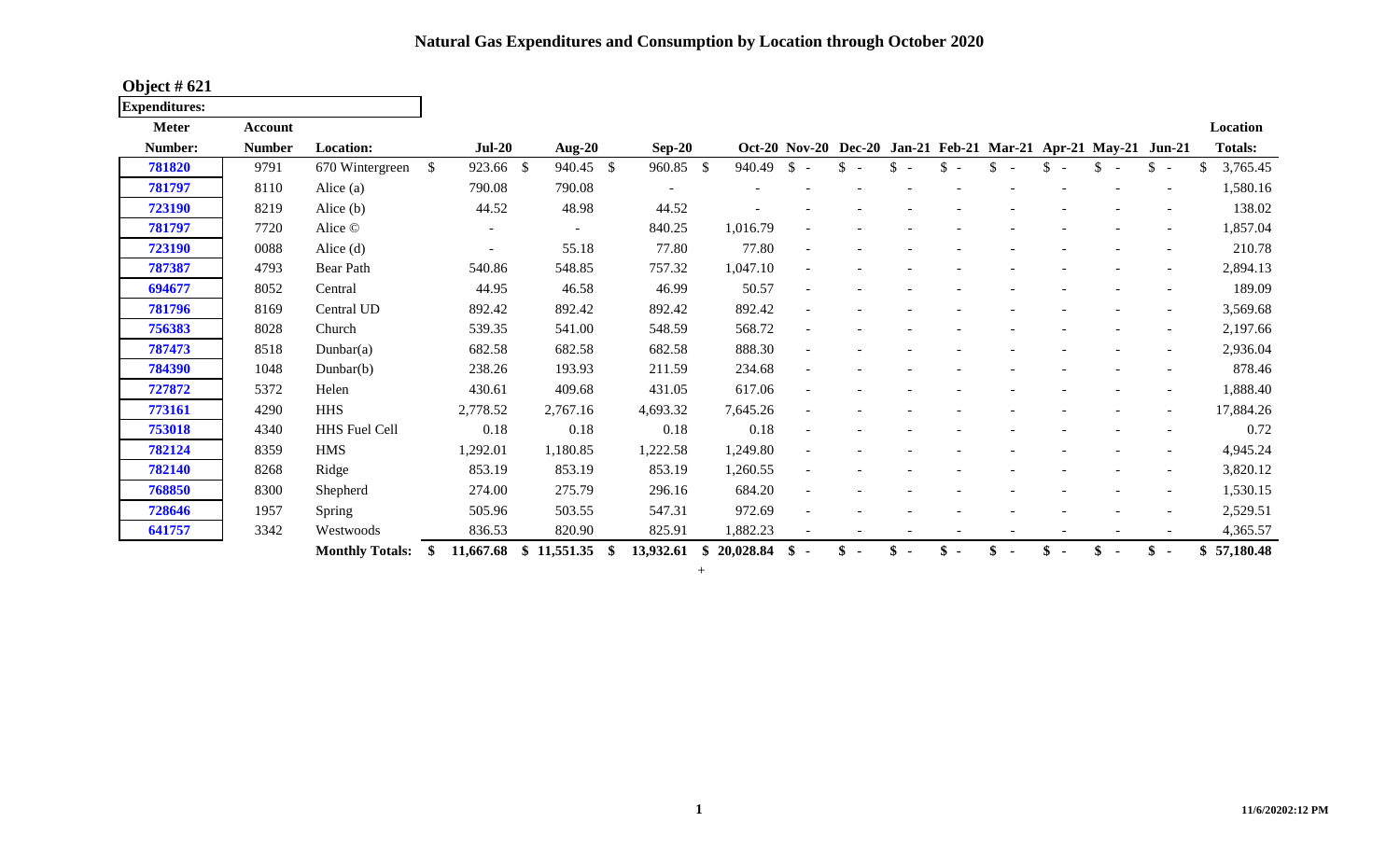## **Natural Gas Expenditures and Consumption by Location through October 2020**

**Expenditures:**

| <b>Meter</b> | <b>Account</b> |                        |                          |             |                   |                 |                        |                                 |              |                                                                |     |                          | Location       |
|--------------|----------------|------------------------|--------------------------|-------------|-------------------|-----------------|------------------------|---------------------------------|--------------|----------------------------------------------------------------|-----|--------------------------|----------------|
| Number:      | <b>Number</b>  | <b>Location:</b>       | $Jul-20$                 | Aug- $20$   | $Sep-20$          |                 |                        |                                 |              | Oct-20 Nov-20 Dec-20 Jan-21 Feb-21 Mar-21 Apr-21 May-21 Jun-21 |     |                          | <b>Totals:</b> |
| 781820       | 9791           | 670 Wintergreen        | \$<br>923.66 \$          | 940.45 \$   | 960.85 \$         | 940.49          | $\mathbb{S}$<br>$\sim$ | \$.<br>$\overline{\phantom{a}}$ | \$<br>$\sim$ |                                                                | \$. | \$<br>$\overline{a}$     | 3,765.45       |
| 781797       | 8110           | Alice $(a)$            | 790.08                   | 790.08      |                   |                 |                        |                                 |              |                                                                |     |                          | 1,580.16       |
| 723190       | 8219           | Alice $(b)$            | 44.52                    | 48.98       | 44.52             |                 |                        |                                 |              |                                                                |     |                          | 138.02         |
| 781797       | 7720           | Alice ©                | $\overline{\phantom{a}}$ | $\sim$      | 840.25            | 1,016.79        |                        |                                 |              |                                                                |     |                          | 1,857.04       |
| 723190       | 0088           | Alice $(d)$            |                          | 55.18       | 77.80             | 77.80           |                        |                                 |              |                                                                |     |                          | 210.78         |
| 787387       | 4793           | Bear Path              | 540.86                   | 548.85      | 757.32            | 1,047.10        | $\sim$                 |                                 |              |                                                                |     |                          | 2,894.13       |
| 694677       | 8052           | Central                | 44.95                    | 46.58       | 46.99             | 50.57           | $\sim$                 |                                 |              |                                                                |     |                          | 189.09         |
| 781796       | 8169           | Central UD             | 892.42                   | 892.42      | 892.42            | 892.42          |                        |                                 |              |                                                                |     |                          | 3,569.68       |
| 756383       | 8028           | Church                 | 539.35                   | 541.00      | 548.59            | 568.72          |                        |                                 |              |                                                                |     |                          | 2,197.66       |
| 787473       | 8518           | Dunbar(a)              | 682.58                   | 682.58      | 682.58            | 888.30          |                        |                                 |              |                                                                |     |                          | 2,936.04       |
| 784390       | 1048           | Dunbar $(b)$           | 238.26                   | 193.93      | 211.59            | 234.68          | $\omega$               |                                 |              |                                                                |     | $\overline{\phantom{a}}$ | 878.46         |
| 727872       | 5372           | Helen                  | 430.61                   | 409.68      | 431.05            | 617.06          |                        |                                 |              |                                                                |     |                          | 1,888.40       |
| 773161       | 4290           | <b>HHS</b>             | 2,778.52                 | 2,767.16    | 4,693.32          | 7,645.26        |                        |                                 |              |                                                                |     |                          | 17,884.26      |
| 753018       | 4340           | HHS Fuel Cell          | 0.18                     | 0.18        | 0.18              | 0.18            | $\sim$                 |                                 |              |                                                                |     |                          | 0.72           |
| 782124       | 8359           | <b>HMS</b>             | 1,292.01                 | 1,180.85    | 1,222.58          | 1,249.80        | $\blacksquare$         |                                 |              |                                                                |     |                          | 4,945.24       |
| 782140       | 8268           | Ridge                  | 853.19                   | 853.19      | 853.19            | 1,260.55        |                        |                                 |              |                                                                |     |                          | 3,820.12       |
| 768850       | 8300           | Shepherd               | 274.00                   | 275.79      | 296.16            | 684.20          |                        |                                 |              |                                                                |     |                          | 1,530.15       |
| 728646       | 1957           | Spring                 | 505.96                   | 503.55      | 547.31            | 972.69          |                        |                                 |              |                                                                |     |                          | 2,529.51       |
| 641757       | 3342           | Westwoods              | 836.53                   | 820.90      | 825.91            | 1,882.23        |                        |                                 |              |                                                                |     |                          | 4,365.57       |
|              |                | <b>Monthly Totals:</b> | 11,667.68<br>SS.         | \$11,551.35 | 13,932.61<br>- \$ | 20,028.84<br>\$ | \$                     |                                 |              |                                                                | \$  | \$                       | \$57,180.48    |

+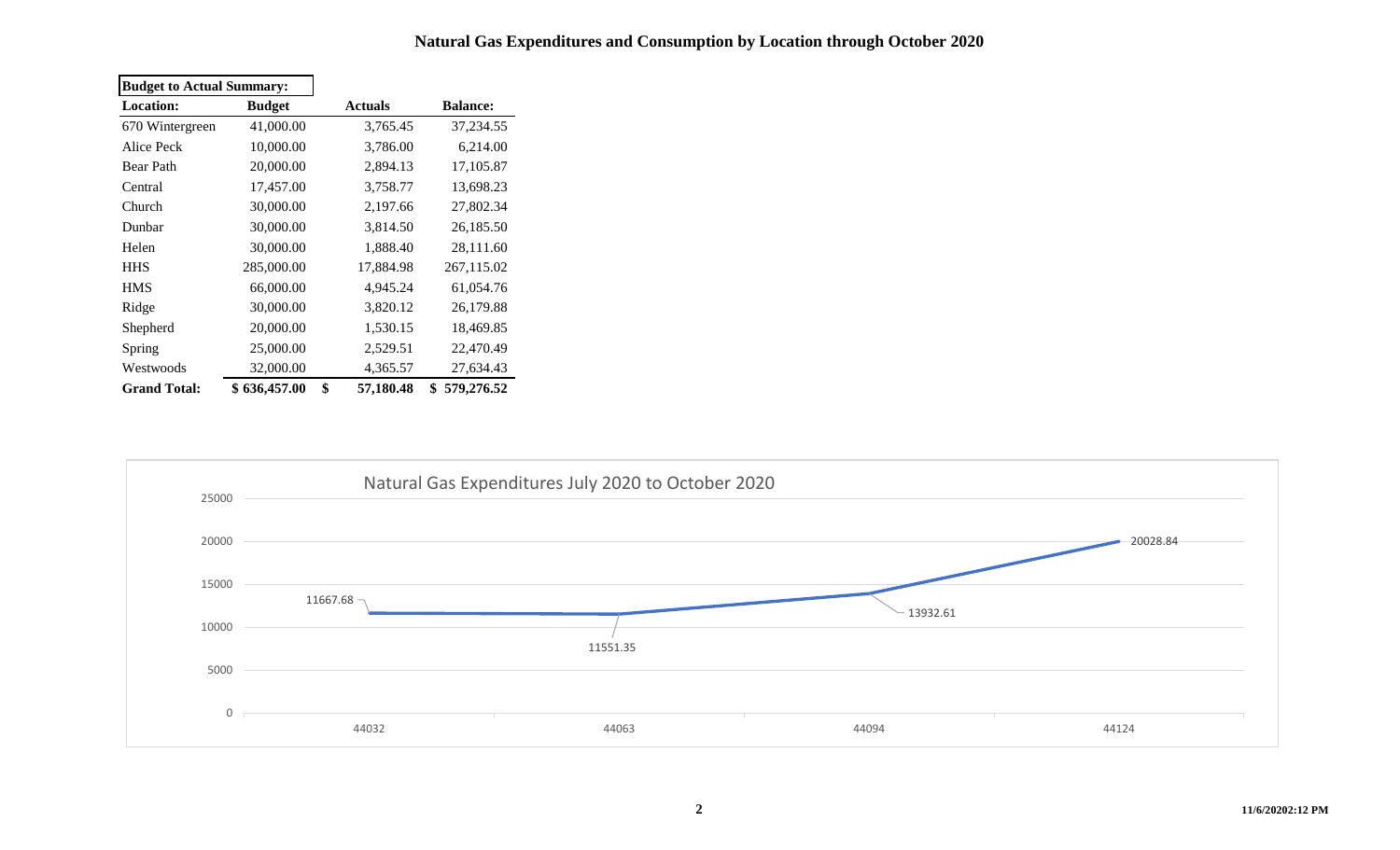### **Natural Gas Expenditures and Consumption by Location through October 2020**

| <b>Budget to Actual Summary:</b> |               |                 |                  |
|----------------------------------|---------------|-----------------|------------------|
| <b>Location:</b>                 | <b>Budget</b> | <b>Actuals</b>  | <b>Balance:</b>  |
| 670 Wintergreen                  | 41,000.00     | 3,765.45        | 37,234.55        |
| Alice Peck                       | 10,000.00     | 3,786.00        | 6,214.00         |
| <b>Bear Path</b>                 | 20,000.00     | 2,894.13        | 17,105.87        |
| Central                          | 17,457.00     | 3,758.77        | 13,698.23        |
| Church                           | 30,000.00     | 2,197.66        | 27,802.34        |
| Dunbar                           | 30,000.00     | 3,814.50        | 26,185.50        |
| Helen                            | 30,000.00     | 1,888.40        | 28,111.60        |
| <b>HHS</b>                       | 285,000.00    | 17,884.98       | 267,115.02       |
| <b>HMS</b>                       | 66,000.00     | 4,945.24        | 61,054.76        |
| Ridge                            | 30,000.00     | 3,820.12        | 26,179.88        |
| Shepherd                         | 20,000.00     | 1,530.15        | 18,469.85        |
| Spring                           | 25,000.00     | 2,529.51        | 22,470.49        |
| Westwoods                        | 32,000.00     | 4,365.57        | 27,634.43        |
| <b>Grand Total:</b>              | \$636,457.00  | \$<br>57,180.48 | \$<br>579,276.52 |

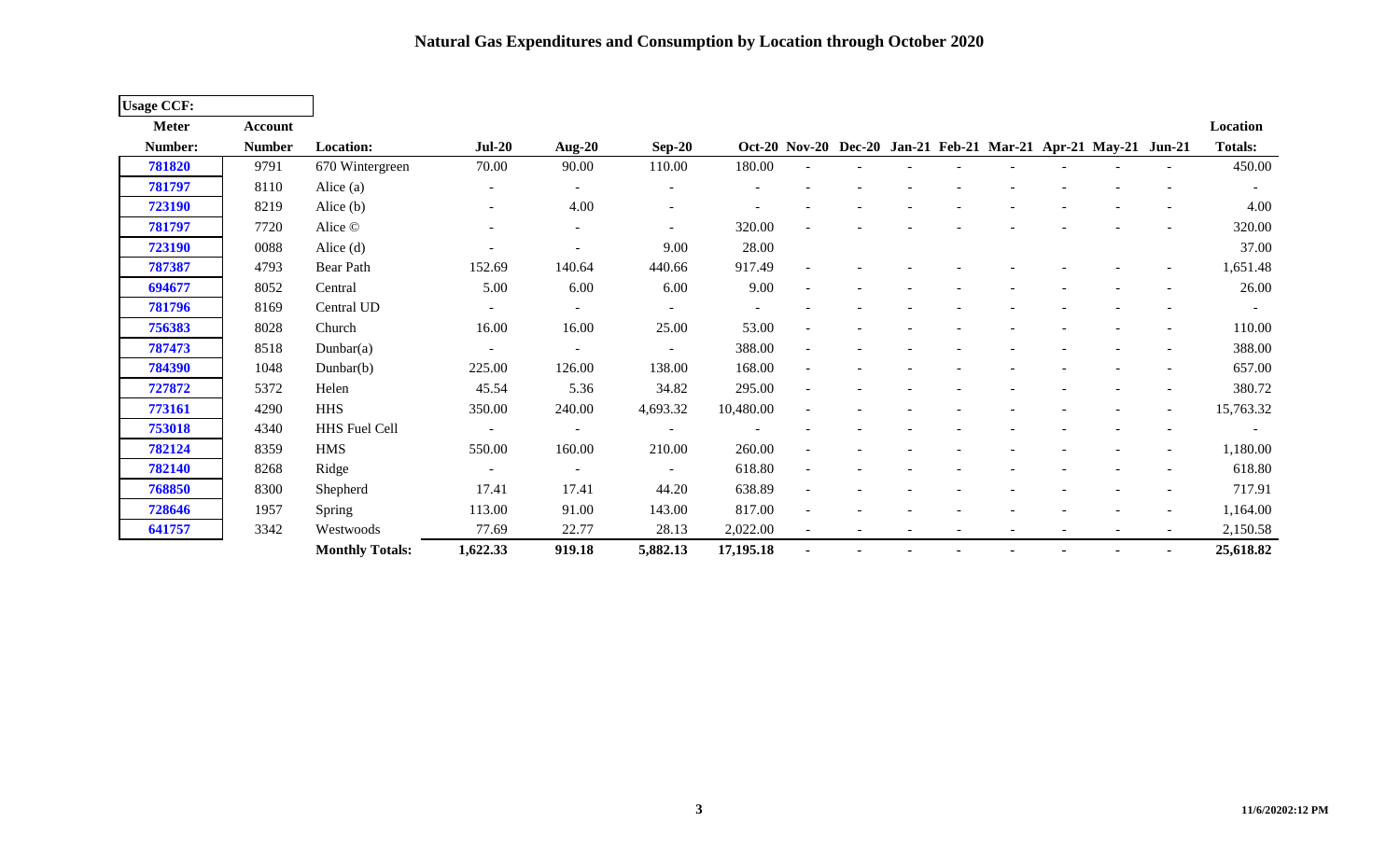**Natural Gas Expenditures and Consumption by Location through October 2020**

| <b>Usage CCF:</b> |                |                        |                          |                          |                          |           |                |  |                          |                                                                |                          |                |
|-------------------|----------------|------------------------|--------------------------|--------------------------|--------------------------|-----------|----------------|--|--------------------------|----------------------------------------------------------------|--------------------------|----------------|
| <b>Meter</b>      | <b>Account</b> |                        |                          |                          |                          |           |                |  |                          |                                                                |                          | Location       |
| Number:           | <b>Number</b>  | <b>Location:</b>       | $Jul-20$                 | Aug-20                   | $Sep-20$                 |           |                |  |                          | Oct-20 Nov-20 Dec-20 Jan-21 Feb-21 Mar-21 Apr-21 May-21 Jun-21 |                          | <b>Totals:</b> |
| 781820            | 9791           | 670 Wintergreen        | 70.00                    | 90.00                    | 110.00                   | 180.00    |                |  |                          |                                                                |                          | 450.00         |
| 781797            | 8110           | Alice $(a)$            | $\overline{\phantom{a}}$ | $\blacksquare$           |                          |           |                |  |                          |                                                                |                          |                |
| 723190            | 8219           | Alice $(b)$            | $\overline{\phantom{a}}$ | 4.00                     |                          |           |                |  |                          |                                                                |                          | 4.00           |
| 781797            | 7720           | Alice ©                | ٠                        | $\qquad \qquad -$        | $\overline{\phantom{a}}$ | 320.00    |                |  |                          |                                                                |                          | 320.00         |
| 723190            | 0088           | Alice $(d)$            | $\overline{a}$           |                          | 9.00                     | 28.00     |                |  |                          |                                                                |                          | 37.00          |
| 787387            | 4793           | Bear Path              | 152.69                   | 140.64                   | 440.66                   | 917.49    |                |  |                          |                                                                |                          | 1,651.48       |
| 694677            | 8052           | Central                | 5.00                     | 6.00                     | 6.00                     | 9.00      |                |  |                          |                                                                |                          | 26.00          |
| 781796            | 8169           | Central UD             | $\overline{\phantom{a}}$ | $\overline{\phantom{a}}$ |                          | $\sim$    |                |  |                          |                                                                |                          | $\sim$         |
| 756383            | 8028           | Church                 | 16.00                    | 16.00                    | 25.00                    | 53.00     |                |  |                          |                                                                |                          | 110.00         |
| 787473            | 8518           | Dunbar $(a)$           | $\overline{\phantom{a}}$ |                          |                          | 388.00    |                |  |                          |                                                                |                          | 388.00         |
| 784390            | 1048           | Dunbar(b)              | 225.00                   | 126.00                   | 138.00                   | 168.00    |                |  |                          |                                                                |                          | 657.00         |
| 727872            | 5372           | Helen                  | 45.54                    | 5.36                     | 34.82                    | 295.00    |                |  |                          |                                                                |                          | 380.72         |
| 773161            | 4290           | <b>HHS</b>             | 350.00                   | 240.00                   | 4,693.32                 | 10,480.00 |                |  |                          |                                                                |                          | 15,763.32      |
| 753018            | 4340           | HHS Fuel Cell          | $\overline{\phantom{a}}$ | $\sim$                   |                          |           |                |  |                          |                                                                |                          | $\sim$         |
| 782124            | 8359           | <b>HMS</b>             | 550.00                   | 160.00                   | 210.00                   | 260.00    |                |  |                          |                                                                |                          | 1,180.00       |
| 782140            | 8268           | Ridge                  | $\sim$                   | $\overline{\phantom{a}}$ | $\blacksquare$           | 618.80    |                |  |                          |                                                                |                          | 618.80         |
| 768850            | 8300           | Shepherd               | 17.41                    | 17.41                    | 44.20                    | 638.89    |                |  |                          |                                                                |                          | 717.91         |
| 728646            | 1957           | Spring                 | 113.00                   | 91.00                    | 143.00                   | 817.00    |                |  |                          |                                                                |                          | 1,164.00       |
| 641757            | 3342           | Westwoods              | 77.69                    | 22.77                    | 28.13                    | 2,022.00  | $\blacksquare$ |  | $\overline{\phantom{a}}$ | $\overline{\phantom{a}}$                                       | $\overline{\phantom{a}}$ | 2,150.58       |
|                   |                | <b>Monthly Totals:</b> | 1,622.33                 | 919.18                   | 5,882.13                 | 17,195.18 |                |  |                          |                                                                |                          | 25,618.82      |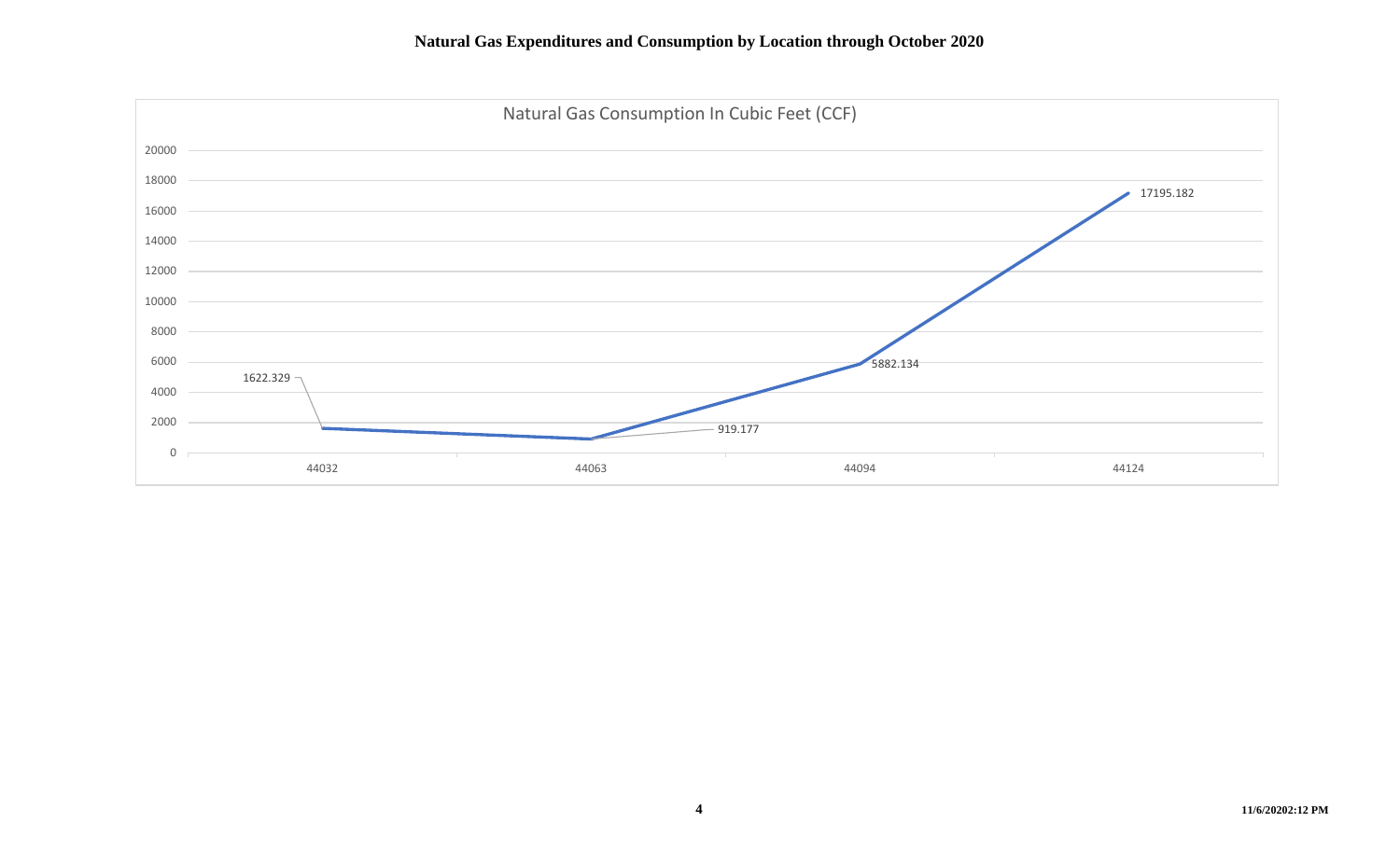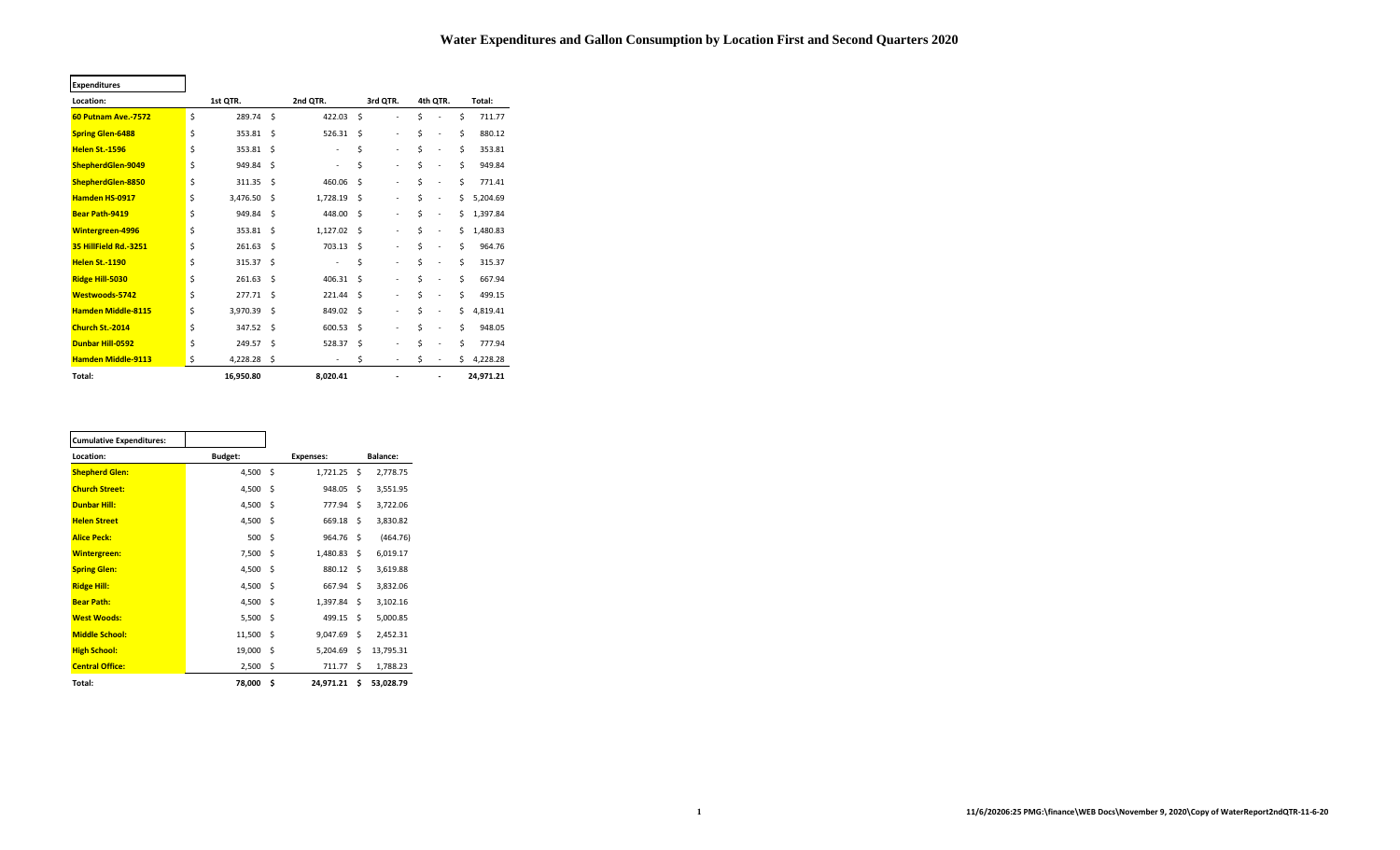#### **Water Expenditures and Gallon Consumption by Location First and Second Quarters 2020**

| <b>Expenditures</b>        |    |           |    |                          |    |                          |                                |    |           |
|----------------------------|----|-----------|----|--------------------------|----|--------------------------|--------------------------------|----|-----------|
| Location:                  |    | 1st QTR.  |    | 2nd QTR.                 |    | 3rd QTR.                 | 4th QTR.                       |    | Total:    |
| <b>60 Putnam Ave.-7572</b> | \$ | 289.74    | Ś. | 422.03                   | Ś  | ٠                        | \$<br>٠                        | \$ | 711.77    |
| <b>Spring Glen-6488</b>    | \$ | 353.81    | Ś. | 526.31                   | Ś  | ٠                        | \$<br>٠                        | Ś  | 880.12    |
| <b>Helen St.-1596</b>      | Ś  | 353.81    | Ŝ. | $\overline{\phantom{a}}$ | \$ | ٠                        | \$<br>$\blacksquare$           | \$ | 353.81    |
| ShepherdGlen-9049          | Ś  | 949.84    | Ś  | $\overline{\phantom{a}}$ | \$ | $\blacksquare$           | \$<br>÷,                       | \$ | 949.84    |
| ShepherdGlen-8850          | \$ | 311.35    | Ś  | 460.06                   | Ś  | ٠                        | \$<br>÷,                       | \$ | 771.41    |
| <b>Hamden HS-0917</b>      | \$ | 3,476.50  | Ŝ. | 1,728.19                 | Ś  | ٠                        | \$<br>ä,                       | \$ | 5,204.69  |
| <b>Bear Path-9419</b>      | \$ | 949.84    | Ŝ. | 448.00                   | Ś  | ٠                        | \$<br>$\overline{\phantom{m}}$ | Ś  | 1,397.84  |
| <b>Wintergreen-4996</b>    | \$ | 353.81    | \$ | 1,127.02                 | Ś  | ٠                        | \$<br>$\blacksquare$           | \$ | 1,480.83  |
| 35 HillField Rd.-3251      | Ś  | 261.63    | Ś  | 703.13                   | Ś  | ٠                        | \$<br>÷,                       | \$ | 964.76    |
| <b>Helen St.-1190</b>      | Ś  | 315.37    | Ś  | ٠                        | \$ | $\blacksquare$           | \$<br>÷,                       | \$ | 315.37    |
| Ridge Hill-5030            | \$ | 261.63    | Ś  | 406.31                   | Ś  | ٠                        | \$<br>÷,                       | \$ | 667.94    |
| Westwoods-5742             | \$ | 277.71    | Ś  | 221.44                   | Ś  | $\blacksquare$           | \$<br>÷,                       | \$ | 499.15    |
| <b>Hamden Middle-8115</b>  | \$ | 3,970.39  | Ś. | 849.02                   | Ś  | ٠                        | \$<br>÷,                       | \$ | 4,819.41  |
| Church St.-2014            | \$ | 347.52    | Ś. | 600.53                   | Ś  | ٠                        | \$<br>÷,                       | \$ | 948.05    |
| <b>Dunbar Hill-0592</b>    | Ś  | 249.57    | Ś  | 528.37                   | Ś  | ٠                        | \$<br>٠                        | \$ | 777.94    |
| <b>Hamden Middle-9113</b>  | \$ | 4,228.28  | \$ | $\overline{\phantom{a}}$ | \$ | $\overline{\phantom{a}}$ | \$<br>$\overline{\phantom{a}}$ | \$ | 4,228.28  |
| Total:                     |    | 16,950.80 |    | 8,020.41                 |    | ٠                        | ٠                              |    | 24,971.21 |

Ē

 $\overline{\phantom{0}}$ 

| <b>Cumulative Expenditures:</b> |                |     |                  |     |           |
|---------------------------------|----------------|-----|------------------|-----|-----------|
| Location:                       | <b>Budget:</b> |     | <b>Expenses:</b> |     | Balance:  |
| <b>Shepherd Glen:</b>           | 4,500          | Ś   | 1,721.25         | Ś.  | 2,778.75  |
| <b>Church Street:</b>           | 4,500          | \$  | 948.05           | \$  | 3,551.95  |
| <b>Dunbar Hill:</b>             | 4,500          | -\$ | 777.94           | \$  | 3,722.06  |
| <b>Helen Street</b>             | 4,500          | Ŝ.  | 669.18           | Ś.  | 3,830.82  |
| <b>Alice Peck:</b>              | 500            | Ŝ.  | 964.76           | Ŝ.  | (464.76)  |
| <b>Wintergreen:</b>             | 7,500          | -\$ | 1,480.83         | \$  | 6,019.17  |
| <b>Spring Glen:</b>             | 4,500          | Ŝ.  | 880.12           | Ś.  | 3,619.88  |
| <b>Ridge Hill:</b>              | 4,500          | Ŝ.  | 667.94           | Ś.  | 3,832.06  |
| <b>Bear Path:</b>               | 4,500          | Ŝ.  | 1,397.84         | Ś.  | 3,102.16  |
| <b>West Woods:</b>              | 5,500          | -\$ | 499.15           | Ś.  | 5,000.85  |
| <b>Middle School:</b>           | 11,500         | Ŝ.  | 9,047.69         | Ś.  | 2,452.31  |
| <b>High School:</b>             | 19,000         | \$  | 5,204.69         | Ś.  | 13,795.31 |
| <b>Central Office:</b>          | 2,500          | \$  | 711.77           | Ś.  | 1,788.23  |
| Total:                          | 78,000         | Ś   | 24,971.21        | \$. | 53,028.79 |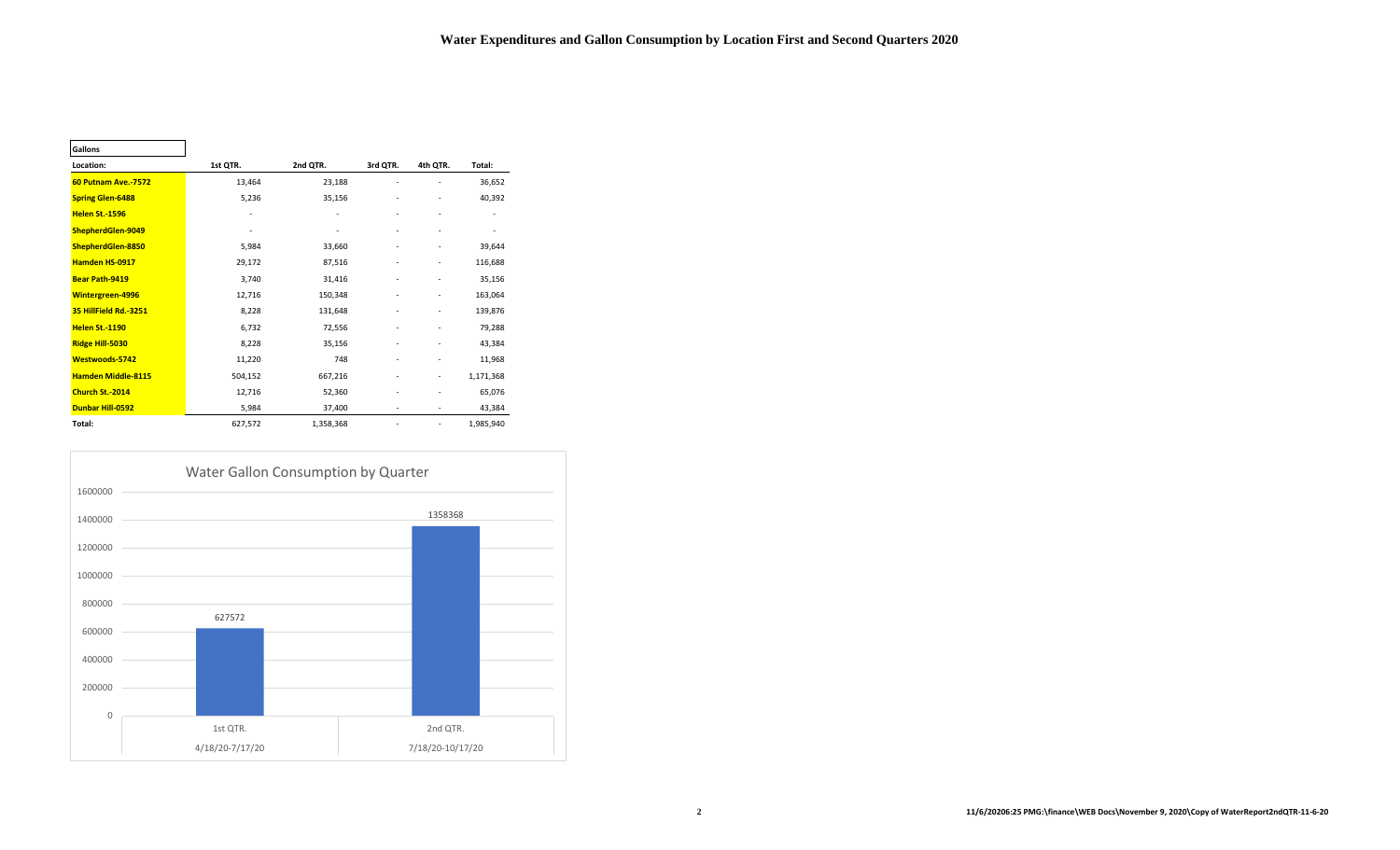| Gallons                    |                              |                          |                              |                          |           |
|----------------------------|------------------------------|--------------------------|------------------------------|--------------------------|-----------|
| Location:                  | 1st QTR.                     | 2nd QTR.                 | 3rd QTR.                     | 4th QTR.                 | Total:    |
| <b>60 Putnam Ave.-7572</b> | 13,464                       | 23,188                   |                              |                          | 36,652    |
| <b>Spring Glen-6488</b>    | 5,236                        | 35,156                   | ٠                            |                          | 40,392    |
| <b>Helen St.-1596</b>      | $\qquad \qquad \blacksquare$ | $\overline{\phantom{m}}$ |                              | $\overline{\phantom{a}}$ |           |
| ShepherdGlen-9049          | $\qquad \qquad \blacksquare$ |                          |                              |                          | ٠         |
| ShepherdGlen-8850          | 5,984                        | 33,660                   |                              |                          | 39,644    |
| <b>Hamden HS-0917</b>      | 29,172                       | 87,516                   | ٠                            |                          | 116,688   |
| <b>Bear Path-9419</b>      | 3,740                        | 31,416                   |                              |                          | 35,156    |
| Wintergreen-4996           | 12,716                       | 150,348                  |                              |                          | 163,064   |
| 35 HillField Rd.-3251      | 8,228                        | 131,648                  | $\qquad \qquad \blacksquare$ |                          | 139,876   |
| <b>Helen St.-1190</b>      | 6,732                        | 72,556                   |                              |                          | 79,288    |
| <b>Ridge Hill-5030</b>     | 8,228                        | 35,156                   |                              |                          | 43,384    |
| <b>Westwoods-5742</b>      | 11,220                       | 748                      |                              |                          | 11,968    |
| <b>Hamden Middle-8115</b>  | 504,152                      | 667,216                  | ٠                            | ٠                        | 1,171,368 |
| Church St.-2014            | 12,716                       | 52,360                   |                              |                          | 65,076    |
| Dunbar Hill-0592           | 5,984                        | 37,400                   |                              | $\overline{\phantom{a}}$ | 43,384    |
| Total:                     | 627,572                      | 1,358,368                |                              |                          | 1,985,940 |